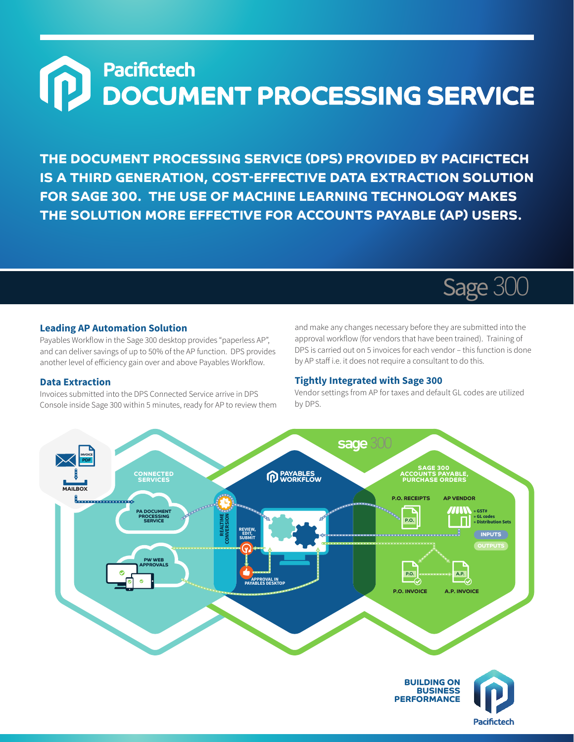# **Pacifictech DOCUMENT PROCESSING SERVICE**

**THE DOCUMENT PROCESSING SERVICE (DPS) PROVIDED BY PACIFICTECH IS A THIRD GENERATION, COST-EFFECTIVE DATA EXTRACTION SOLUTION FOR SAGE 300. THE USE OF MACHINE LEARNING TECHNOLOGY MAKES THE SOLUTION MORE EFFECTIVE FOR ACCOUNTS PAYABLE (AP) USERS.**



#### **Leading AP Automation Solution**

Payables Workflow in the Sage 300 desktop provides "paperless AP", and can deliver savings of up to 50% of the AP function. DPS provides another level of efficiency gain over and above Payables Workflow.

#### **Data Extraction**

Invoices submitted into the DPS Connected Service arrive in DPS Console inside Sage 300 within 5 minutes, ready for AP to review them and make any changes necessary before they are submitted into the approval workflow (for vendors that have been trained). Training of DPS is carried out on 5 invoices for each vendor – this function is done by AP staff i.e. it does not require a consultant to do this.

#### **Tightly Integrated with Sage 300**

Vendor settings from AP for taxes and default GL codes are utilized by DPS.